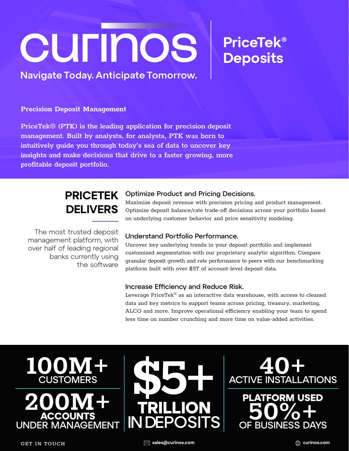# CUFINOS

## Navigate Today. Anticipate Tomorrow.

### Precision Deposit Management

PriceTek®️ (PTK) is the leading application for precision deposit management. Built by analysts, for analysts, PTK was born to intuitively guide you through today's sea of data to uncover key insights and make decisions that drive to a faster growing, more profitable deposit portfolio.

# PRICETEK **DELIVERS**

The most trusted deposit management platform, with over half of leading regional banks currently using the software

## Optimize Product and Pricing Decisions.

Maximize deposit revenue with precision pricing and product management. Optimize deposit balance/rate trade-off decisions across your portfolio based on underlying customer behavior and price sensitivity modeling.

PriceTek®

**Deposits** 

## Understand Portfolio Performance.

Uncover key underlying trends in your deposit portfolio and implement customized segmentation with our proprietary analytic algorithm. Compare granular deposit growth and rate performance to peers with our benchmarking platform built with over \$5T of account-level deposit data.

## Increase Efficiency and Reduce Risk.

Leverage PriceTek® as an interactive data warehouse, with access to cleaned data and key metrics to support teams across pricing, treasury, marketing, ALCO and more. Improve operational efficiency enabling your team to spend less time on number crunching and more time on value-added activities.



ACCOUNT UNDER MANAGEMENT